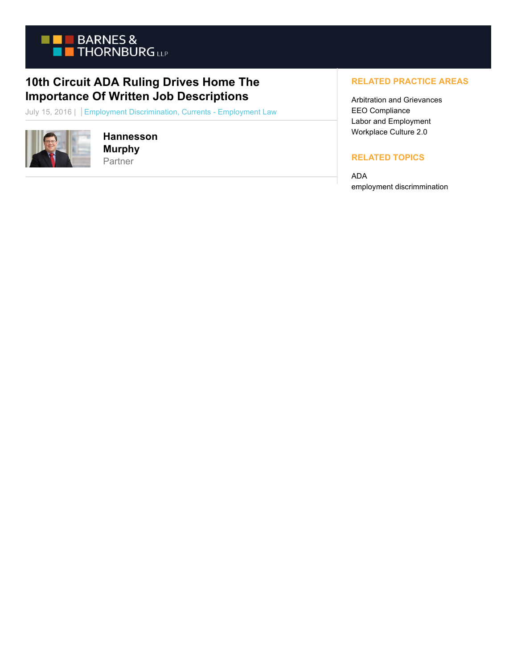

## **10th Circuit ADA Ruling Drives Home The Importance Of Written Job Descriptions**

July 15, 2016 | Employment Discrimination, Currents - Employment Law



**Hannesson Murphy** Partner

## **RELATED PRACTICE AREAS**

Arbitration and Grievances EEO Compliance Labor and Employment Workplace Culture 2.0

## **RELATED TOPICS**

ADA employment discrimmination